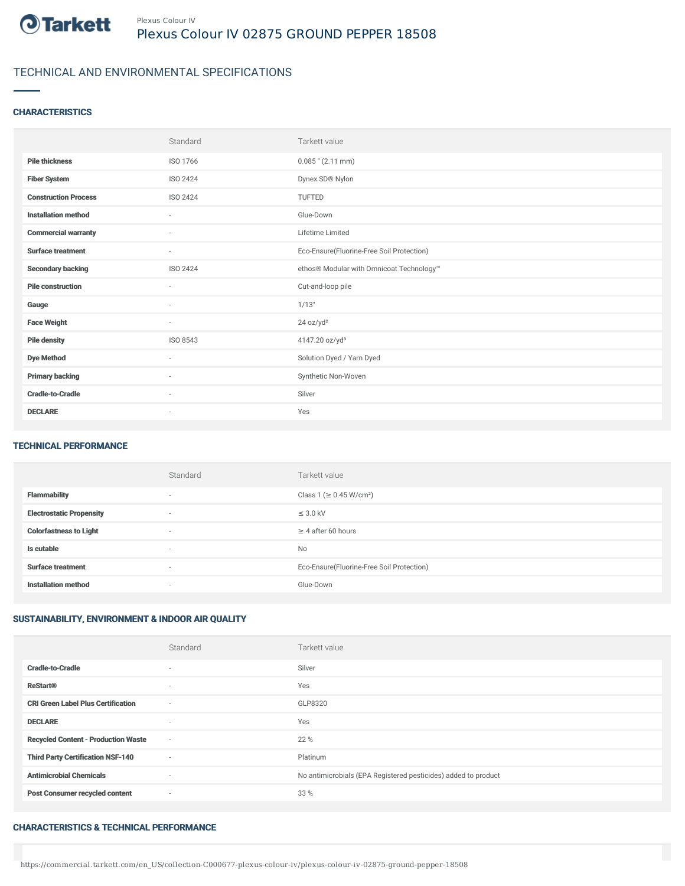

# TECHNICAL AND ENVIRONMENTAL SPECIFICATIONS

## **CHARACTERISTICS**

|                             | Standard                 | Tarkett value                             |
|-----------------------------|--------------------------|-------------------------------------------|
| <b>Pile thickness</b>       | ISO 1766                 | $0.085$ " (2.11 mm)                       |
| <b>Fiber System</b>         | ISO 2424                 | Dynex SD® Nylon                           |
| <b>Construction Process</b> | <b>ISO 2424</b>          | <b>TUFTED</b>                             |
| <b>Installation method</b>  | $\sim$                   | Glue-Down                                 |
| <b>Commercial warranty</b>  | $\overline{\phantom{a}}$ | Lifetime Limited                          |
| <b>Surface treatment</b>    | $\sim$                   | Eco-Ensure(Fluorine-Free Soil Protection) |
| <b>Secondary backing</b>    | ISO 2424                 | ethos® Modular with Omnicoat Technology™  |
| <b>Pile construction</b>    | $\sim$                   | Cut-and-loop pile                         |
| Gauge                       | ٠                        | 1/13"                                     |
| <b>Face Weight</b>          | $\sim$                   | 24 oz/yd <sup>2</sup>                     |
| <b>Pile density</b>         | ISO 8543                 | 4147.20 oz/yd <sup>3</sup>                |
| <b>Dye Method</b>           | ٠                        | Solution Dyed / Yarn Dyed                 |
| <b>Primary backing</b>      | $\sim$                   | Synthetic Non-Woven                       |
| <b>Cradle-to-Cradle</b>     | ٠                        | Silver                                    |
| <b>DECLARE</b>              | $\overline{\phantom{a}}$ | Yes                                       |

#### TECHNICAL PERFORMANCE

|                                 | Standard                 | Tarkett value                             |
|---------------------------------|--------------------------|-------------------------------------------|
| <b>Flammability</b>             | $\overline{\phantom{a}}$ | Class 1 (≥ 0.45 W/cm <sup>2</sup> )       |
| <b>Electrostatic Propensity</b> | $\overline{\phantom{a}}$ | $\leq$ 3.0 kV                             |
| <b>Colorfastness to Light</b>   | $\overline{\phantom{a}}$ | $\geq$ 4 after 60 hours                   |
| Is cutable                      | $\overline{\phantom{a}}$ | <b>No</b>                                 |
| <b>Surface treatment</b>        | $\overline{\phantom{a}}$ | Eco-Ensure(Fluorine-Free Soil Protection) |
| <b>Installation method</b>      | $\overline{\phantom{a}}$ | Glue-Down                                 |

### SUSTAINABILITY, ENVIRONMENT & INDOOR AIR QUALITY

|                                            | Standard                 | Tarkett value                                                  |
|--------------------------------------------|--------------------------|----------------------------------------------------------------|
| <b>Cradle-to-Cradle</b>                    | $\overline{\phantom{a}}$ | Silver                                                         |
| <b>ReStart®</b>                            | $\overline{\phantom{a}}$ | Yes                                                            |
| <b>CRI Green Label Plus Certification</b>  | $\sim$                   | GLP8320                                                        |
| <b>DECLARE</b>                             |                          | Yes                                                            |
| <b>Recycled Content - Production Waste</b> | $\sim$                   | 22 %                                                           |
| <b>Third Party Certification NSF-140</b>   | $\sim$                   | Platinum                                                       |
| <b>Antimicrobial Chemicals</b>             | $\overline{\phantom{a}}$ | No antimicrobials (EPA Registered pesticides) added to product |
| <b>Post Consumer recycled content</b>      | $\sim$                   | 33 %                                                           |

#### CHARACTERISTICS & TECHNICAL PERFORMANCE